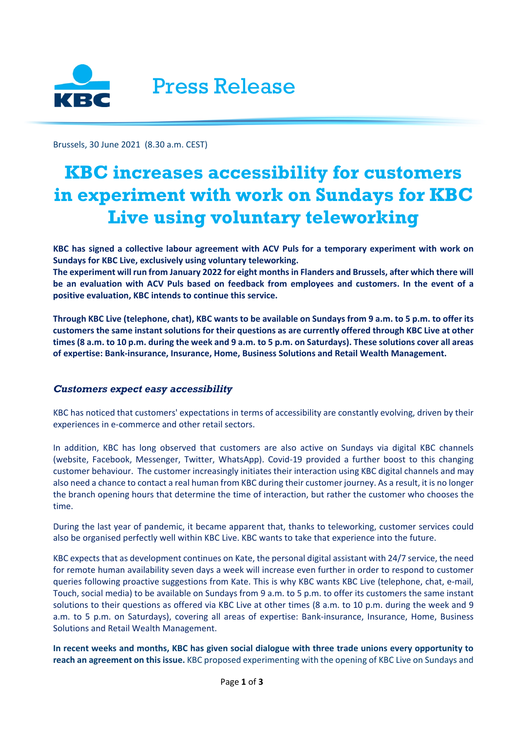

Press Release

Brussels, 30 June 2021 (8.30 a.m. CEST)

# **KBC increases accessibility for customers in experiment with work on Sundays for KBC Live using voluntary teleworking**

**KBC has signed a collective labour agreement with ACV Puls for a temporary experiment with work on Sundays for KBC Live, exclusively using voluntary teleworking.**

**The experiment will run from January 2022 for eight months in Flanders and Brussels, after which there will be an evaluation with ACV Puls based on feedback from employees and customers. In the event of a positive evaluation, KBC intends to continue this service.**

**Through KBC Live (telephone, chat), KBC wants to be available on Sundays from 9 a.m. to 5 p.m. to offer its customers the same instant solutions for their questions as are currently offered through KBC Live at other times (8 a.m. to 10 p.m. during the week and 9 a.m. to 5 p.m. on Saturdays). These solutions cover all areas of expertise: Bank-insurance, Insurance, Home, Business Solutions and Retail Wealth Management.**

## *Customers expect easy accessibility*

KBC has noticed that customers' expectations in terms of accessibility are constantly evolving, driven by their experiences in e-commerce and other retail sectors.

In addition, KBC has long observed that customers are also active on Sundays via digital KBC channels (website, Facebook, Messenger, Twitter, WhatsApp). Covid-19 provided a further boost to this changing customer behaviour. The customer increasingly initiates their interaction using KBC digital channels and may also need a chance to contact a real human from KBC during their customer journey. As a result, it is no longer the branch opening hours that determine the time of interaction, but rather the customer who chooses the time.

During the last year of pandemic, it became apparent that, thanks to teleworking, customer services could also be organised perfectly well within KBC Live. KBC wants to take that experience into the future.

KBC expects that as development continues on Kate, the personal digital assistant with 24/7 service, the need for remote human availability seven days a week will increase even further in order to respond to customer queries following proactive suggestions from Kate. This is why KBC wants KBC Live (telephone, chat, e-mail, Touch, social media) to be available on Sundays from 9 a.m. to 5 p.m. to offer its customers the same instant solutions to their questions as offered via KBC Live at other times (8 a.m. to 10 p.m. during the week and 9 a.m. to 5 p.m. on Saturdays), covering all areas of expertise: Bank-insurance, Insurance, Home, Business Solutions and Retail Wealth Management.

**In recent weeks and months, KBC has given social dialogue with three trade unions every opportunity to reach an agreement on this issue.** KBC proposed experimenting with the opening of KBC Live on Sundays and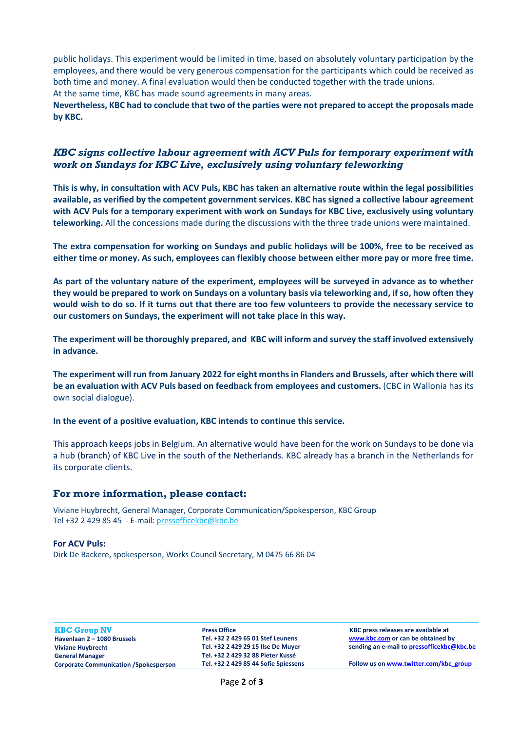public holidays. This experiment would be limited in time, based on absolutely voluntary participation by the employees, and there would be very generous compensation for the participants which could be received as both time and money. A final evaluation would then be conducted together with the trade unions. At the same time, KBC has made sound agreements in many areas.

**Nevertheless, KBC had to conclude that two of the parties were not prepared to accept the proposals made by KBC.** 

# *KBC signs collective labour agreement with ACV Puls for temporary experiment with work on Sundays for KBC Live, exclusively using voluntary teleworking*

**This is why, in consultation with ACV Puls, KBC has taken an alternative route within the legal possibilities available, as verified by the competent government services. KBC has signed a collective labour agreement with ACV Puls for a temporary experiment with work on Sundays for KBC Live, exclusively using voluntary teleworking.** All the concessions made during the discussions with the three trade unions were maintained.

**The extra compensation for working on Sundays and public holidays will be 100%, free to be received as either time or money. As such, employees can flexibly choose between either more pay or more free time.** 

**As part of the voluntary nature of the experiment, employees will be surveyed in advance as to whether they would be prepared to work on Sundays on a voluntary basis via teleworking and, if so, how often they would wish to do so. If it turns out that there are too few volunteers to provide the necessary service to our customers on Sundays, the experiment will not take place in this way.** 

**The experiment will be thoroughly prepared, and KBC will inform and survey the staff involved extensively in advance.** 

**The experiment will run from January 2022 for eight months in Flanders and Brussels, after which there will be an evaluation with ACV Puls based on feedback from employees and customers.** (CBC in Wallonia has its own social dialogue).

**In the event of a positive evaluation, KBC intends to continue this service.**

This approach keeps jobs in Belgium. An alternative would have been for the work on Sundays to be done via a hub (branch) of KBC Live in the south of the Netherlands. KBC already has a branch in the Netherlands for its corporate clients.

## **For more information, please contact:**

Viviane Huybrecht, General Manager, Corporate Communication/Spokesperson, KBC Group Tel +32 2 429 85 45 - E-mail: [pressofficekbc@kbc.be](mailto:pressofficekbc@kbc.be)

#### **For ACV Puls:**

Dirk De Backere, spokesperson, Works Council Secretary, M 0475 66 86 04

**KBC Group NV Havenlaan 2 – 1080 Brussels Viviane Huybrecht General Manager Corporate Communication /Spokesperson** **Press Office Tel. +32 2 429 65 01 Stef Leunens Tel. +32 2 429 29 15 Ilse De Muyer Tel. +32 2 429 32 88 Pieter Kussé Tel. +32 2 429 85 44 Sofie Spiessens**

**KBC press releases are available at [www.kbc.com](http://www.kbc.com/) or can be obtained by sending an e-mail t[o pressofficekbc@kbc.be](mailto:pressofficekbc@kbc.be)**

**Follow us o[n www.twitter.com/kbc\\_group](http://www.twitter.com/kbc_group)**